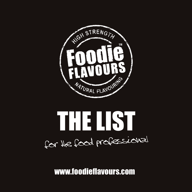



www.foodieflavours.com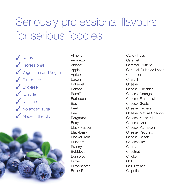## Seriously professional flavours for serious foodies.

✓ Natural ✓ Professional **✓ Vegetarian and Vegan** ✓ Gluten-free ✓ Egg-free ✓ Dairy-free  $\sqrt{\frac{N_{\text{U}} + \text{free}}{N_{\text{U}}}$ ◆ No added sugar ✓ Made in the UK



Almond Amaretto Aniseed Apple Apricot Bacon Bakewell Banana Banoffee **Barbeque** Basil Beef Beer Bergamot Berry Black Pepper **Blackberry** Blackcurrant **Blueberry** Brandy Bubblegum **Bunspice Butter Butterscotch** Butter Rum

Candy Floss Caramel Caramel, Buttery Caramel, Dulce de Leche Cardamom Chargrill Cheese Cheese, Cheddar Cheese, Cottage Cheese, Emmental Cheese, Goats Cheese, Gruyere Cheese, Mature Cheddar Cheese, Mozzarella Cheese, Nacho Cheese, Parmesan Cheese, Pecorino Cheese, Stilton Cheesecake **Cherry** Chestnut Chicken Chilli Chilli Extract **Chipotle**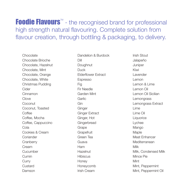**Foodie Flavours**<sup> $M$ </sup> - the recognised brand for professional high strength natural flavouring. Complete solution from flavour creation, through bottling & packaging, to delivery.

Chocolate Chocolate Brioche Chocolate, Hazelnut Chocolate, Mint Chocolate, Orange Chocolate, White Christmas Pudding Cider Cinnamon Clove Coconut Coconut, Toasted **Coffee** Coffee, Mocha Coffee, Cappuccino Cola Cookies & Cream Coriander **Cranberry** Cream Cucumber Cumin Curry Custard Damson

Dandelion & Burdock Dill **Doughnut** Duck Elderflower Extract Espresso Fig Fir Needle Garden Mint Garlic Gin **Ginger** Ginger Extract Ginger, Hot **Gingerbread** Grape **Grapefruit** Green Tea Guava Ham Hazelnut **Hibiscus** Honey Honeycomb Irish Cream

Irish Stout Jalapeño **Juniper** Kiwi Lavender Lemon Lemon & Lime Lemon Oil Lemon Oil Sicilian **Lemongrass** Lemongrass Extract Lime Lime Oil Liquorice Lychee Mango Maple Meat Enhancer Mediterranean Milk Milk, Condensed Milk Mince Pie Mint Mint, Peppermint Mint, Peppermint Oil